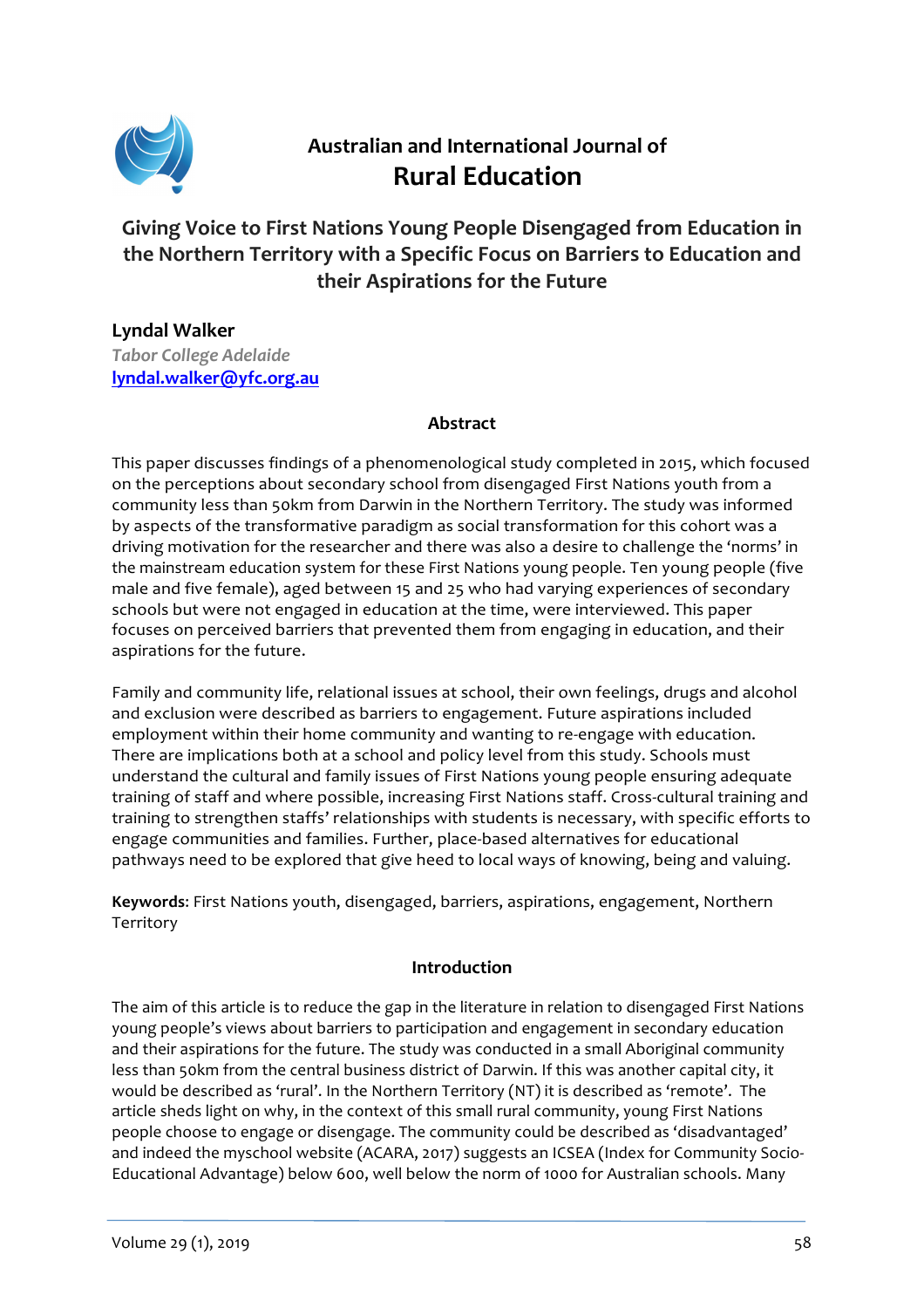

# **Australian and International Journal of Rural Education**

# Giving Voice to First Nations Young People Disengaged from Education in the Northern Territory with a Specific Focus on Barriers to Education and **their Aspirations for the Future**

**Lyndal Walker** *Tabor College Adelaide*  **lyndal.walker@yfc.org.au**

#### **Abstract**

This paper discusses findings of a phenomenological study completed in 2015, which focused on the perceptions about secondary school from disengaged First Nations youth from a community less than 50km from Darwin in the Northern Territory. The study was informed by aspects of the transformative paradigm as social transformation for this cohort was a driving motivation for the researcher and there was also a desire to challenge the 'norms' in the mainstream education system for these First Nations young people. Ten young people (five male and five female), aged between 15 and 25 who had varying experiences of secondary schools but were not engaged in education at the time, were interviewed. This paper focuses on perceived barriers that prevented them from engaging in education, and their aspirations for the future.

Family and community life, relational issues at school, their own feelings, drugs and alcohol and exclusion were described as barriers to engagement. Future aspirations included employment within their home community and wanting to re-engage with education. There are implications both at a school and policy level from this study. Schools must understand the cultural and family issues of First Nations young people ensuring adequate training of staff and where possible, increasing First Nations staff. Cross-cultural training and training to strengthen staffs' relationships with students is necessary, with specific efforts to engage communities and families. Further, place-based alternatives for educational pathways need to be explored that give heed to local ways of knowing, being and valuing.

**Keywords:** First Nations youth, disengaged, barriers, aspirations, engagement, Northern Territory

#### **Introduction**

The aim of this article is to reduce the gap in the literature in relation to disengaged First Nations young people's views about barriers to participation and engagement in secondary education and their aspirations for the future. The study was conducted in a small Aboriginal community less than 50km from the central business district of Darwin. If this was another capital city, it would be described as 'rural'. In the Northern Territory (NT) it is described as 'remote'. The article sheds light on why, in the context of this small rural community, young First Nations people choose to engage or disengage. The community could be described as 'disadvantaged' and indeed the myschool website (ACARA, 2017) suggests an ICSEA (Index for Community Socio-Educational Advantage) below 600, well below the norm of 1000 for Australian schools. Many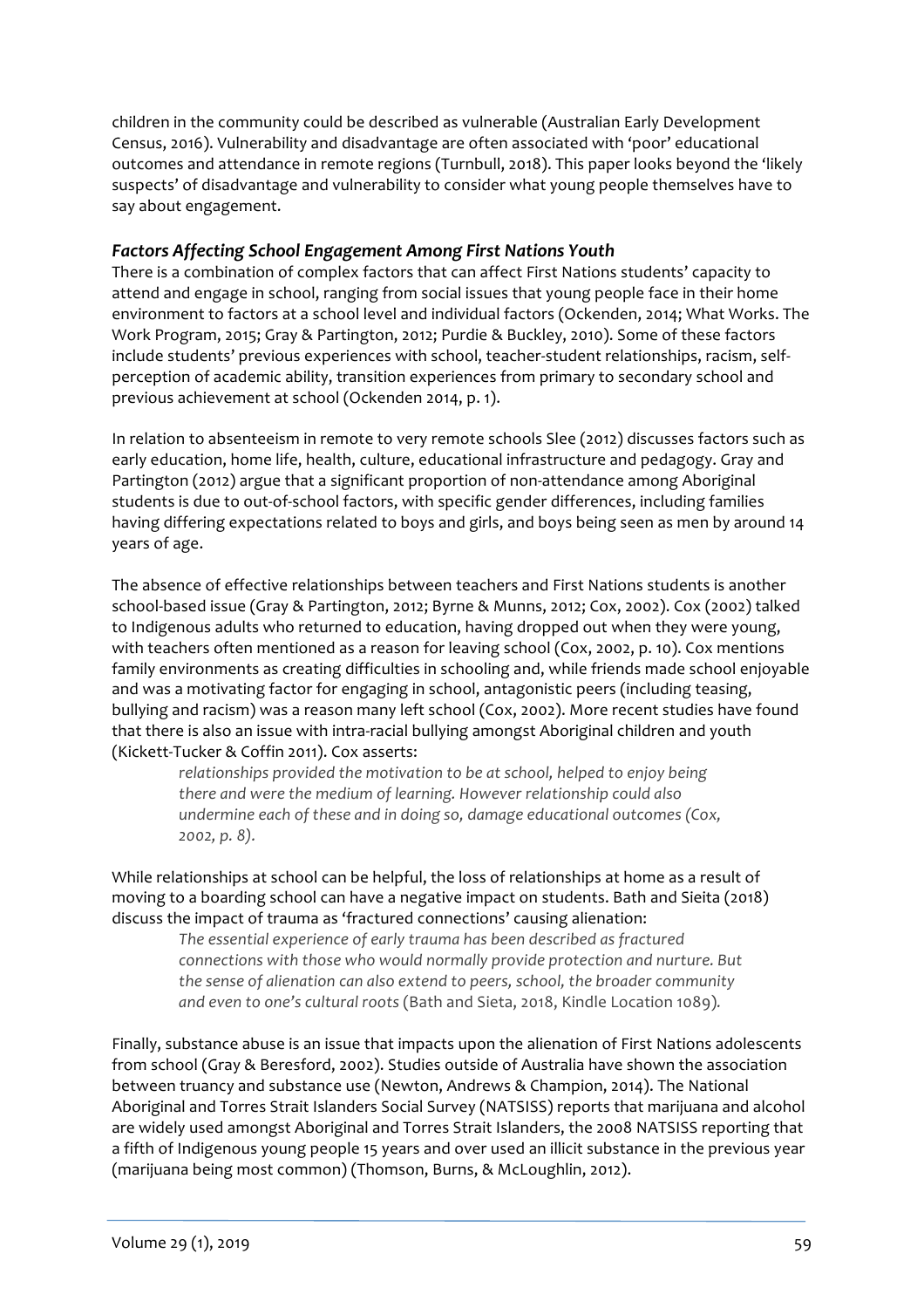children in the community could be described as vulnerable (Australian Early Development Census, 2016). Vulnerability and disadvantage are often associated with 'poor' educational outcomes and attendance in remote regions (Turnbull, 2018). This paper looks beyond the 'likely suspects' of disadvantage and vulnerability to consider what young people themselves have to say about engagement.

#### *Factors Affecting School Engagement Among First Nations Youth*

There is a combination of complex factors that can affect First Nations students' capacity to attend and engage in school, ranging from social issues that young people face in their home environment to factors at a school level and individual factors (Ockenden, 2014; What Works. The Work Program, 2015; Gray & Partington, 2012; Purdie & Buckley, 2010). Some of these factors include students' previous experiences with school, teacher-student relationships, racism, selfperception of academic ability, transition experiences from primary to secondary school and previous achievement at school (Ockenden 2014, p. 1).

In relation to absenteeism in remote to very remote schools Slee (2012) discusses factors such as early education, home life, health, culture, educational infrastructure and pedagogy. Gray and Partington (2012) argue that a significant proportion of non-attendance among Aboriginal students is due to out-of-school factors, with specific gender differences, including families having differing expectations related to boys and girls, and boys being seen as men by around 14 years of age.

The absence of effective relationships between teachers and First Nations students is another school-based issue (Gray & Partington, 2012; Byrne & Munns, 2012; Cox, 2002). Cox (2002) talked to Indigenous adults who returned to education, having dropped out when they were young, with teachers often mentioned as a reason for leaving school (Cox, 2002, p. 10). Cox mentions family environments as creating difficulties in schooling and, while friends made school enjoyable and was a motivating factor for engaging in school, antagonistic peers (including teasing, bullying and racism) was a reason many left school (Cox, 2002). More recent studies have found that there is also an issue with intra-racial bullying amongst Aboriginal children and youth (Kickett-Tucker & Coffin 2011). Cox asserts:

relationships provided the motivation to be at school, helped to enjoy being *there and were the medium of learning. However relationship could also* undermine each of these and in doing so, damage educational outcomes (Cox, *2002, p. 8).*

While relationships at school can be helpful, the loss of relationships at home as a result of moving to a boarding school can have a negative impact on students. Bath and Sieita (2018) discuss the impact of trauma as 'fractured connections' causing alienation:

> The essential experience of early trauma has been described as fractured *connections* with those who would normally provide protection and nurture. But *the sense of alienation can also extend to peers, school, the broader community* and even to one's cultural roots (Bath and Sieta, 2018, Kindle Location 1089).

Finally, substance abuse is an issue that impacts upon the alienation of First Nations adolescents from school (Gray & Beresford, 2002). Studies outside of Australia have shown the association between truancy and substance use (Newton, Andrews & Champion, 2014). The National Aboriginal and Torres Strait Islanders Social Survey (NATSISS) reports that marijuana and alcohol are widely used amongst Aboriginal and Torres Strait Islanders, the 2008 NATSISS reporting that a fifth of Indigenous young people 15 years and over used an illicit substance in the previous year (marijuana being most common) (Thomson, Burns, & McLoughlin, 2012).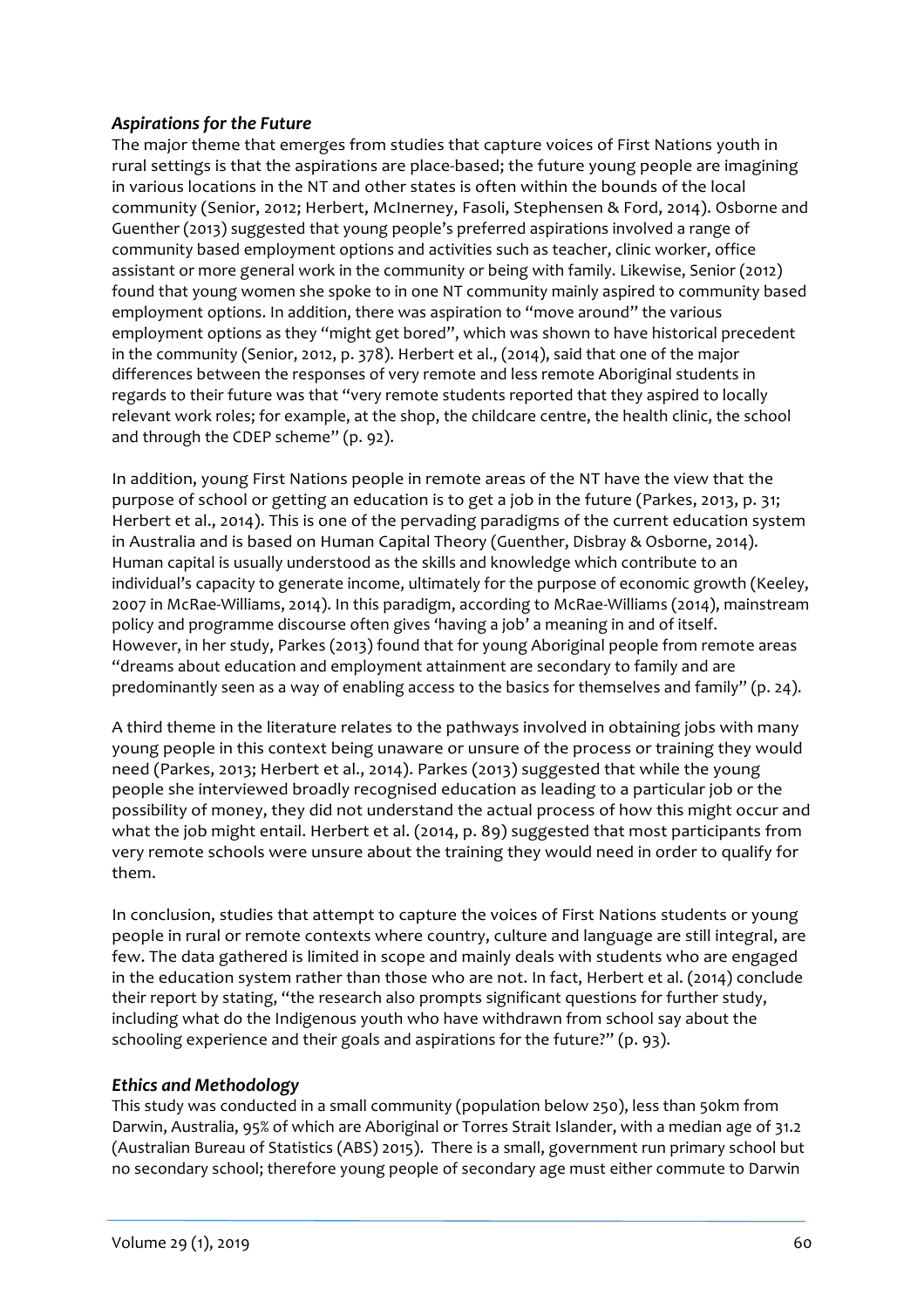# *Aspirations for the Future*

The major theme that emerges from studies that capture voices of First Nations youth in rural settings is that the aspirations are place-based; the future young people are imagining in various locations in the NT and other states is often within the bounds of the local community (Senior, 2012; Herbert, McInerney, Fasoli, Stephensen & Ford, 2014). Osborne and Guenther (2013) suggested that young people's preferred aspirations involved a range of community based employment options and activities such as teacher, clinic worker, office assistant or more general work in the community or being with family. Likewise, Senior (2012) found that young women she spoke to in one NT community mainly aspired to community based employment options. In addition, there was aspiration to "move around" the various employment options as they "might get bored", which was shown to have historical precedent in the community (Senior, 2012, p. 378). Herbert et al., (2014), said that one of the major differences between the responses of very remote and less remote Aboriginal students in regards to their future was that "very remote students reported that they aspired to locally relevant work roles; for example, at the shop, the childcare centre, the health clinic, the school and through the CDEP scheme" (p. 92).

In addition, young First Nations people in remote areas of the NT have the view that the purpose of school or getting an education is to get a job in the future (Parkes, 2013, p. 31; Herbert et al., 2014). This is one of the pervading paradigms of the current education system in Australia and is based on Human Capital Theory (Guenther, Disbray & Osborne, 2014). Human capital is usually understood as the skills and knowledge which contribute to an individual's capacity to generate income, ultimately for the purpose of economic growth (Keeley, 2007 in McRae-Williams, 2014). In this paradigm, according to McRae-Williams (2014), mainstream policy and programme discourse often gives 'having a job' a meaning in and of itself. However, in her study, Parkes (2013) found that for young Aboriginal people from remote areas "dreams about education and employment attainment are secondary to family and are predominantly seen as a way of enabling access to the basics for themselves and family" (p. 24).

A third theme in the literature relates to the pathways involved in obtaining jobs with many young people in this context being unaware or unsure of the process or training they would need (Parkes, 2013; Herbert et al., 2014). Parkes (2013) suggested that while the young people she interviewed broadly recognised education as leading to a particular job or the possibility of money, they did not understand the actual process of how this might occur and what the job might entail. Herbert et al.  $(2014, p. 89)$  suggested that most participants from very remote schools were unsure about the training they would need in order to qualify for them.

In conclusion, studies that attempt to capture the voices of First Nations students or young people in rural or remote contexts where country, culture and language are still integral, are few. The data gathered is limited in scope and mainly deals with students who are engaged in the education system rather than those who are not. In fact, Herbert et al. (2014) conclude their report by stating, "the research also prompts significant questions for further study, including what do the Indigenous youth who have withdrawn from school say about the schooling experience and their goals and aspirations for the future?" (p. 93).

# *Ethics and Methodology*

This study was conducted in a small community (population below 250), less than 50km from Darwin, Australia, 95% of which are Aboriginal or Torres Strait Islander, with a median age of 31.2 (Australian Bureau of Statistics (ABS) 2015). There is a small, government run primary school but no secondary school; therefore young people of secondary age must either commute to Darwin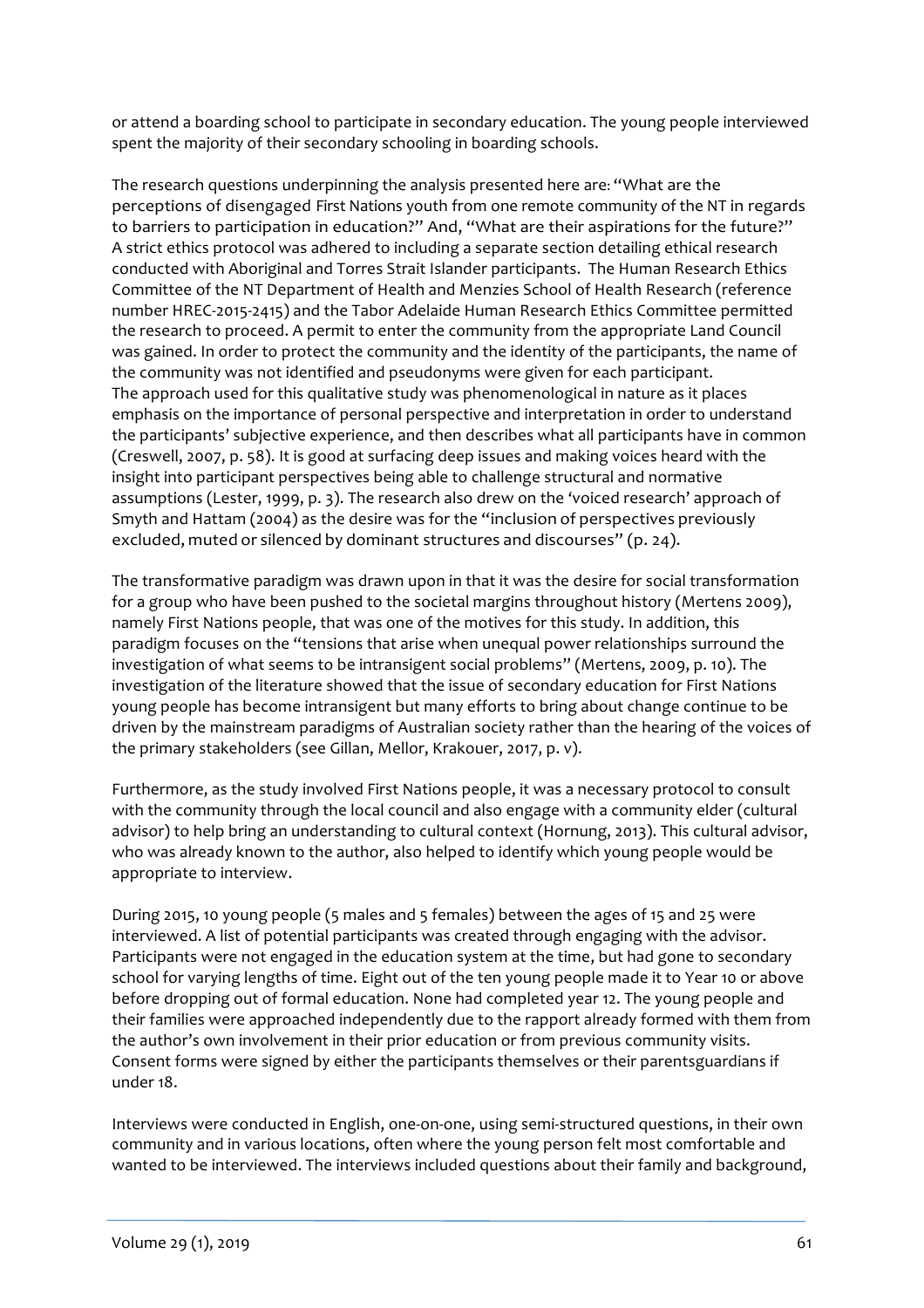or attend a boarding school to participate in secondary education. The young people interviewed spent the majority of their secondary schooling in boarding schools.

The research questions underpinning the analysis presented here are: "What are the perceptions of disengaged First Nations youth from one remote community of the NT in regards to barriers to participation in education?" And, "What are their aspirations for the future?" A strict ethics protocol was adhered to including a separate section detailing ethical research conducted with Aboriginal and Torres Strait Islander participants. The Human Research Ethics Committee of the NT Department of Health and Menzies School of Health Research (reference number HREC-2015-2415) and the Tabor Adelaide Human Research Ethics Committee permitted the research to proceed. A permit to enter the community from the appropriate Land Council was gained. In order to protect the community and the identity of the participants, the name of the community was not identified and pseudonyms were given for each participant. The approach used for this qualitative study was phenomenological in nature as it places emphasis on the importance of personal perspective and interpretation in order to understand the participants' subjective experience, and then describes what all participants have in common (Creswell, 2007, p. 58). It is good at surfacing deep issues and making voices heard with the insight into participant perspectives being able to challenge structural and normative assumptions (Lester, 1999, p. 3). The research also drew on the 'voiced research' approach of Smyth and Hattam (2004) as the desire was for the "inclusion of perspectives previously excluded, muted or silenced by dominant structures and discourses" (p. 24).

The transformative paradigm was drawn upon in that it was the desire for social transformation for a group who have been pushed to the societal margins throughout history (Mertens 2009), namely First Nations people, that was one of the motives for this study. In addition, this paradigm focuses on the "tensions that arise when unequal power relationships surround the investigation of what seems to be intransigent social problems" (Mertens, 2009, p. 10). The investigation of the literature showed that the issue of secondary education for First Nations young people has become intransigent but many efforts to bring about change continue to be driven by the mainstream paradigms of Australian society rather than the hearing of the voices of the primary stakeholders (see Gillan, Mellor, Krakouer, 2017, p. v).

Furthermore, as the study involved First Nations people, it was a necessary protocol to consult with the community through the local council and also engage with a community elder (cultural advisor) to help bring an understanding to cultural context (Hornung, 2013). This cultural advisor, who was already known to the author, also helped to identify which young people would be appropriate to interview.

During 2015, 10 young people (5 males and 5 females) between the ages of 15 and 25 were interviewed. A list of potential participants was created through engaging with the advisor. Participants were not engaged in the education system at the time, but had gone to secondary school for varying lengths of time. Eight out of the ten young people made it to Year 10 or above before dropping out of formal education. None had completed year 12. The young people and their families were approached independently due to the rapport already formed with them from the author's own involvement in their prior education or from previous community visits. Consent forms were signed by either the participants themselves or their parentsguardians if under 18.

Interviews were conducted in English, one-on-one, using semi-structured questions, in their own community and in various locations, often where the young person felt most comfortable and wanted to be interviewed. The interviews included questions about their family and background,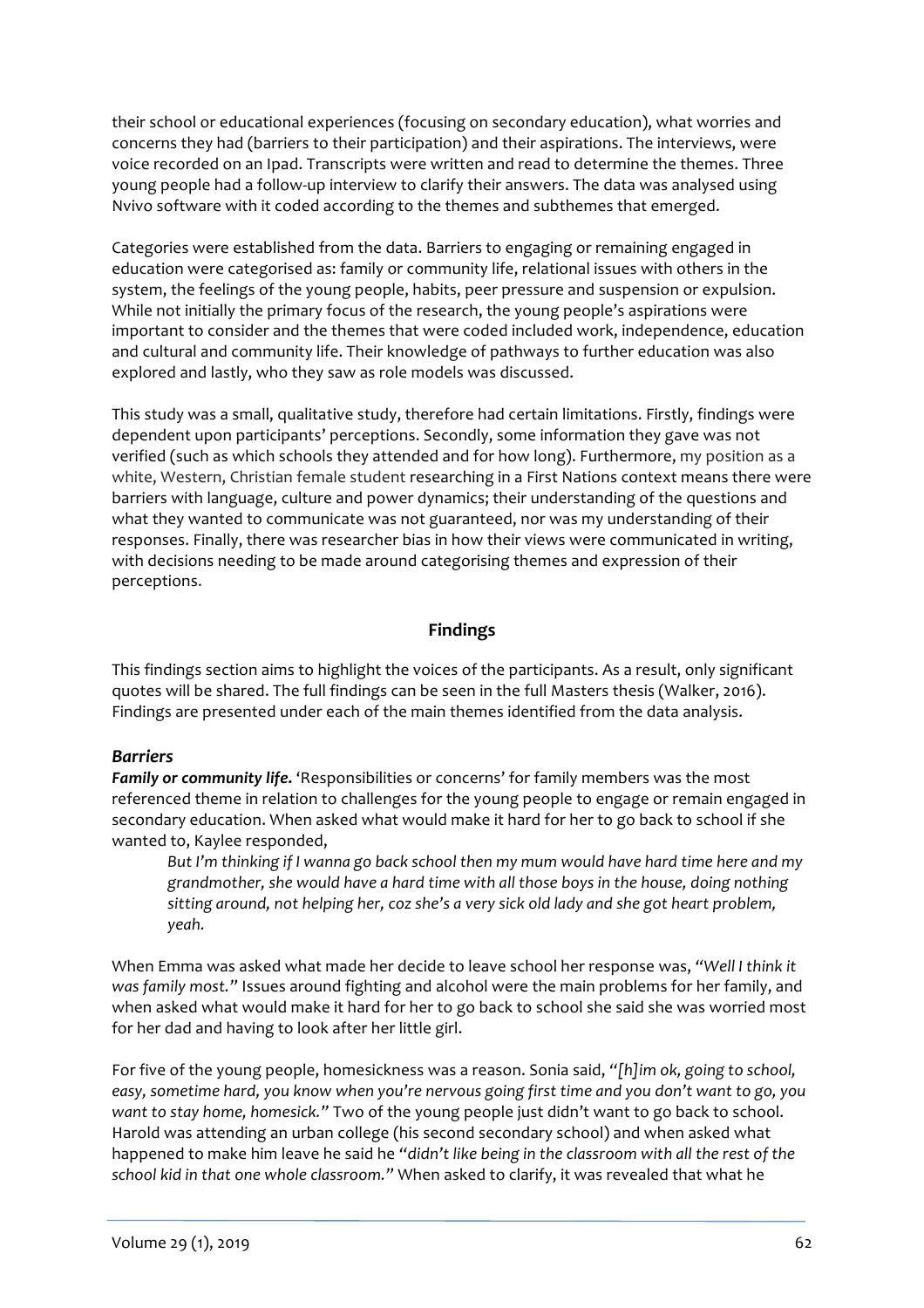their school or educational experiences (focusing on secondary education), what worries and concerns they had (barriers to their participation) and their aspirations. The interviews, were voice recorded on an Ipad. Transcripts were written and read to determine the themes. Three young people had a follow-up interview to clarify their answers. The data was analysed using Nvivo software with it coded according to the themes and subthemes that emerged.

Categories were established from the data. Barriers to engaging or remaining engaged in education were categorised as: family or community life, relational issues with others in the system, the feelings of the young people, habits, peer pressure and suspension or expulsion. While not initially the primary focus of the research, the young people's aspirations were important to consider and the themes that were coded included work, independence, education and cultural and community life. Their knowledge of pathways to further education was also explored and lastly, who they saw as role models was discussed.

This study was a small, qualitative study, therefore had certain limitations. Firstly, findings were dependent upon participants' perceptions. Secondly, some information they gave was not verified (such as which schools they attended and for how long). Furthermore, my position as a white, Western, Christian female student researching in a First Nations context means there were barriers with language, culture and power dynamics; their understanding of the questions and what they wanted to communicate was not guaranteed, nor was my understanding of their responses. Finally, there was researcher bias in how their views were communicated in writing, with decisions needing to be made around categorising themes and expression of their perceptions. 

#### **Findings**

This findings section aims to highlight the voices of the participants. As a result, only significant quotes will be shared. The full findings can be seen in the full Masters thesis (Walker, 2016). Findings are presented under each of the main themes identified from the data analysis.

#### *Barriers*

**Family or community life.** 'Responsibilities or concerns' for family members was the most referenced theme in relation to challenges for the young people to engage or remain engaged in secondary education. When asked what would make it hard for her to go back to school if she wanted to, Kaylee responded,

But I'm thinking if I wanna go back school then my mum would have hard time here and my grandmother, she would have a hard time with all those boys in the house, doing nothing sitting around, not helping her, coz she's a very sick old lady and she got heart problem, *yeah.*

When Emma was asked what made her decide to leave school her response was, "Well I think it *was family most."* Issues around fighting and alcohol were the main problems for her family, and when asked what would make it hard for her to go back to school she said she was worried most for her dad and having to look after her little girl.

For five of the young people, homesickness was a reason. Sonia said, "[h]im ok, going to school, easy, sometime hard, you know when you're nervous going first time and you don't want to go, you *want* to stay home, homesick." Two of the young people just didn't want to go back to school. Harold was attending an urban college (his second secondary school) and when asked what happened to make him leave he said he "didn't like being in the classroom with all the rest of the school kid in that one whole classroom." When asked to clarify, it was revealed that what he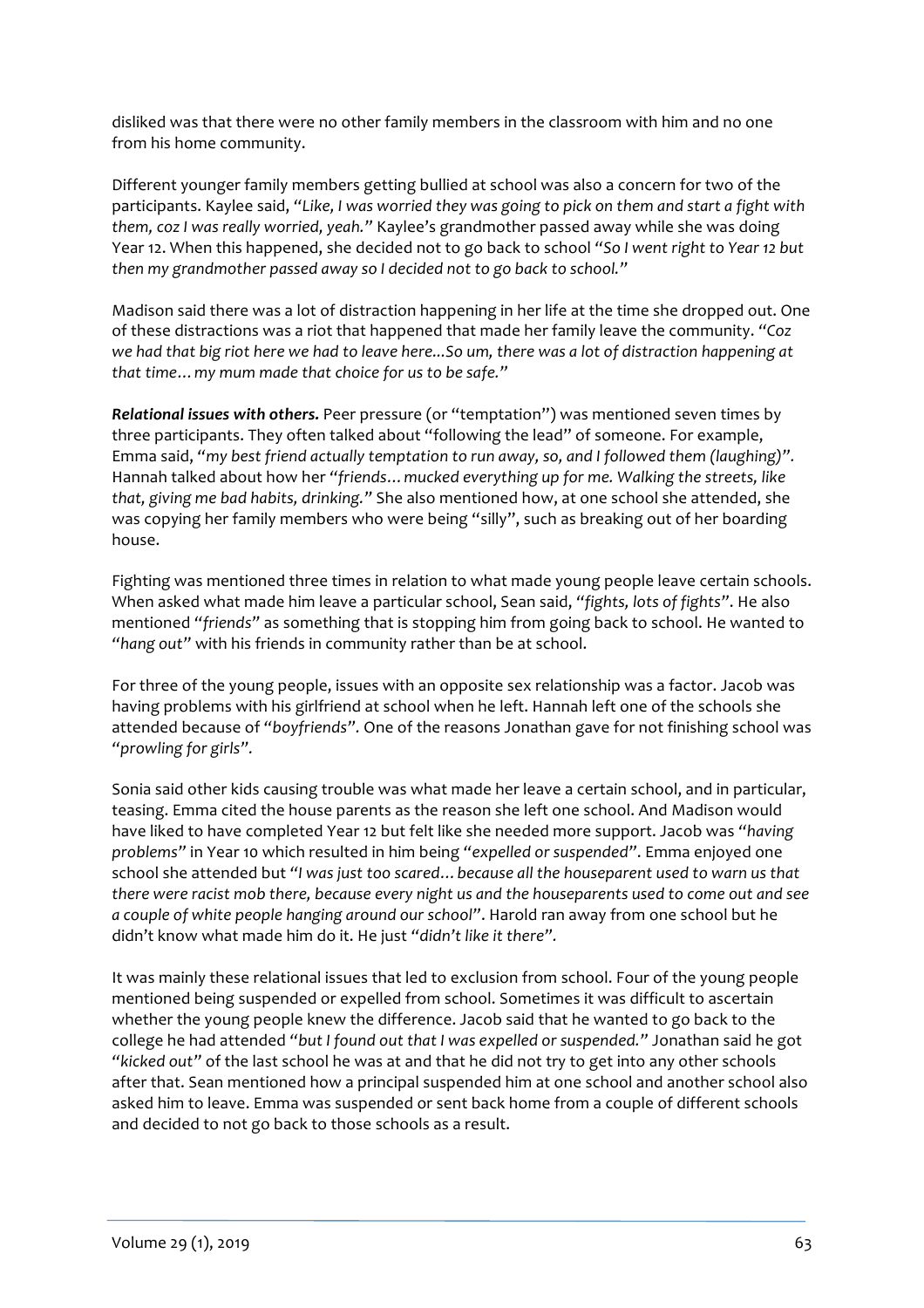disliked was that there were no other family members in the classroom with him and no one from his home community.

Different younger family members getting bullied at school was also a concern for two of the participants. Kaylee said, "Like, I was worried they was going to pick on them and start a fight with them, coz I was really worried, yeah." Kaylee's grandmother passed away while she was doing Year 12. When this happened, she decided not to go back to school "So I went right to Year 12 but then my grandmother passed away so I decided not to go back to school."

Madison said there was a lot of distraction happening in her life at the time she dropped out. One of these distractions was a riot that happened that made her family leave the community. "Coz we had that big riot here we had to leave here...So um, there was a lot of distraction happening at *that time... my mum made that choice for us to be safe."* 

**Relational issues with others.** Peer pressure (or "temptation") was mentioned seven times by three participants. They often talked about "following the lead" of someone. For example, Emma said, "my best friend actually temptation to run away, so, and I followed them (laughing)". Hannah talked about how her "friends... mucked everything up for me. Walking the streets, like that, giving me bad habits, drinking." She also mentioned how, at one school she attended, she was copving her family members who were being "silly", such as breaking out of her boarding house. 

Fighting was mentioned three times in relation to what made young people leave certain schools. When asked what made him leave a particular school, Sean said, "fights, lots of fights". He also mentioned "friends" as something that is stopping him from going back to school. He wanted to "hang out" with his friends in community rather than be at school.

For three of the young people, issues with an opposite sex relationship was a factor. Jacob was having problems with his girlfriend at school when he left. Hannah left one of the schools she attended because of "boyfriends". One of the reasons Jonathan gave for not finishing school was *"prowling for girls".*

Sonia said other kids causing trouble was what made her leave a certain school, and in particular, teasing. Emma cited the house parents as the reason she left one school. And Madison would have liked to have completed Year 12 but felt like she needed more support. Jacob was "having problems" in Year 10 which resulted in him being "expelled or suspended". Emma enjoyed one school she attended but "I was just too scared... because all the houseparent used to warn us that *there* were racist mob there, because every night us and the houseparents used to come out and see *a* couple of white people hanging around our school". Harold ran away from one school but he didn't know what made him do it. He just "didn't like it there".

It was mainly these relational issues that led to exclusion from school. Four of the young people mentioned being suspended or expelled from school. Sometimes it was difficult to ascertain whether the young people knew the difference. Jacob said that he wanted to go back to the college he had attended "but I found out that I was expelled or suspended." Jonathan said he got "kicked out" of the last school he was at and that he did not try to get into any other schools after that. Sean mentioned how a principal suspended him at one school and another school also asked him to leave. Emma was suspended or sent back home from a couple of different schools and decided to not go back to those schools as a result.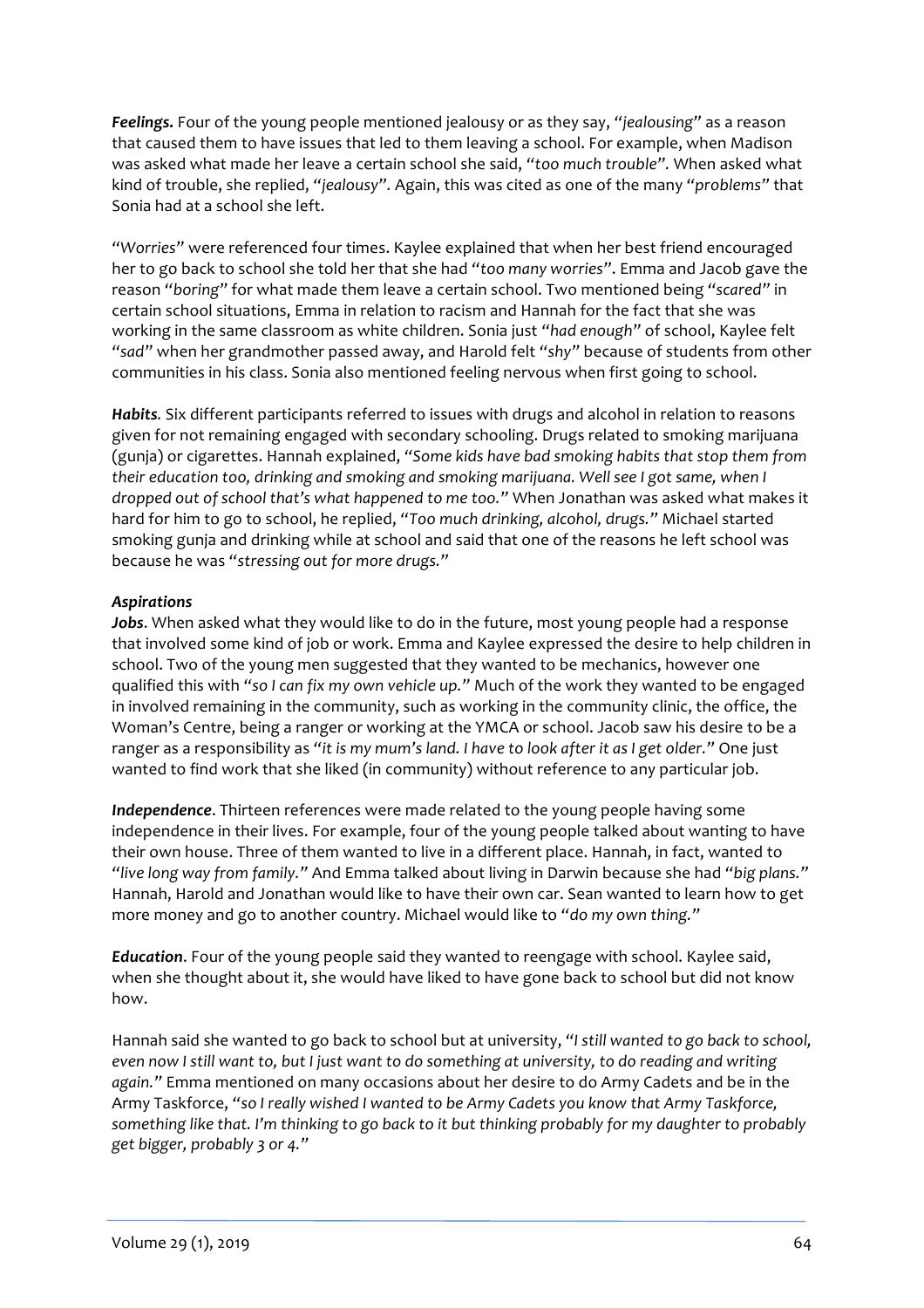**Feelings.** Four of the young people mentioned jealousy or as they say, "jealousing" as a reason that caused them to have issues that led to them leaving a school. For example, when Madison was asked what made her leave a certain school she said, "too much trouble". When asked what kind of trouble, she replied, "jealousy". Again, this was cited as one of the many "problems" that Sonia had at a school she left.

"Worries" were referenced four times. Kaylee explained that when her best friend encouraged her to go back to school she told her that she had "too many worries". Emma and Jacob gave the reason "boring" for what made them leave a certain school. Two mentioned being "scared" in certain school situations, Emma in relation to racism and Hannah for the fact that she was working in the same classroom as white children. Sonia just "had enough" of school, Kaylee felt "sad" when her grandmother passed away, and Harold felt "shy" because of students from other communities in his class. Sonia also mentioned feeling nervous when first going to school.

*Habits.* Six different participants referred to issues with drugs and alcohol in relation to reasons given for not remaining engaged with secondary schooling. Drugs related to smoking marijuana (gunja) or cigarettes. Hannah explained, "Some kids have bad smoking habits that stop them from *their education too, drinking and smoking and smoking marijuana.* Well see I got same, when I *dropped out of school that's* what happened to me too." When Jonathan was asked what makes it hard for him to go to school, he replied, "Too much drinking, alcohol, drugs." Michael started smoking gunja and drinking while at school and said that one of the reasons he left school was because he was "stressing out for more drugs."

#### *Aspirations*

**Jobs**. When asked what they would like to do in the future, most young people had a response that involved some kind of job or work. Emma and Kaylee expressed the desire to help children in school. Two of the young men suggested that they wanted to be mechanics, however one qualified this with "so I can fix my own vehicle up." Much of the work they wanted to be engaged in involved remaining in the community, such as working in the community clinic, the office, the Woman's Centre, being a ranger or working at the YMCA or school. Jacob saw his desire to be a ranger as a responsibility as "it is my mum's land. I have to look after it as I get older." One just wanted to find work that she liked (in community) without reference to any particular job.

**Independence**. Thirteen references were made related to the young people having some independence in their lives. For example, four of the young people talked about wanting to have their own house. Three of them wanted to live in a different place. Hannah, in fact, wanted to "live long way from family." And Emma talked about living in Darwin because she had "big plans." Hannah, Harold and Jonathan would like to have their own car. Sean wanted to learn how to get more money and go to another country. Michael would like to "do my own thing."

**Education.** Four of the young people said they wanted to reengage with school. Kaylee said, when she thought about it, she would have liked to have gone back to school but did not know how. 

Hannah said she wanted to go back to school but at university, "I still wanted to go back to school, *even now I still want to, but I just want to do something at university, to do reading and writing* again." Emma mentioned on many occasions about her desire to do Army Cadets and be in the Army Taskforce, "so I really wished I wanted to be Army Cadets you know that Army Taskforce, something like that. I'm thinking to go back to it but thinking probably for my daughter to probably *get bigger, probably 3 or 4."*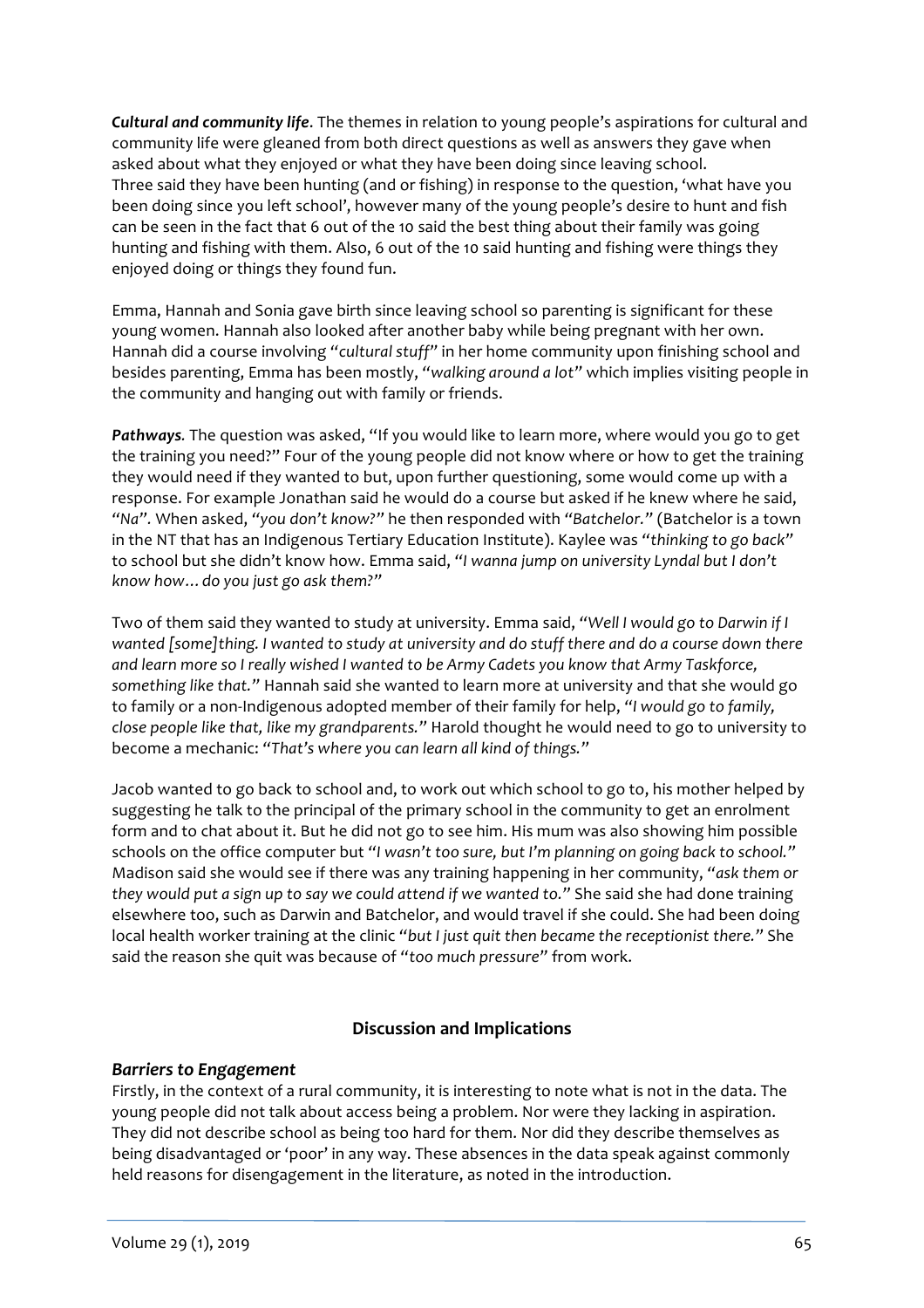**Cultural and community life.** The themes in relation to young people's aspirations for cultural and community life were gleaned from both direct questions as well as answers they gave when asked about what they enjoyed or what they have been doing since leaving school. Three said they have been hunting (and or fishing) in response to the question, 'what have you been doing since you left school', however many of the young people's desire to hunt and fish can be seen in the fact that 6 out of the 10 said the best thing about their family was going hunting and fishing with them. Also, 6 out of the 10 said hunting and fishing were things they enjoyed doing or things they found fun.

Emma, Hannah and Sonia gave birth since leaving school so parenting is significant for these young women. Hannah also looked after another baby while being pregnant with her own. Hannah did a course involving "cultural stuff" in her home community upon finishing school and besides parenting, Emma has been mostly, "walking around a lot" which implies visiting people in the community and hanging out with family or friends.

**Pathways**. The question was asked, "If you would like to learn more, where would you go to get the training you need?" Four of the young people did not know where or how to get the training they would need if they wanted to but, upon further questioning, some would come up with a response. For example Jonathan said he would do a course but asked if he knew where he said, "Na". When asked, "you don't know?" he then responded with "Batchelor." (Batchelor is a town in the NT that has an Indigenous Tertiary Education Institute). Kaylee was "thinking to go back" to school but she didn't know how. Emma said, "I wanna jump on university Lyndal but I don't *know how…do you just go ask them?"*

Two of them said they wanted to study at university. Emma said, "Well I would go to Darwin if I wanted [some]thing. I wanted to study at university and do stuff there and do a course down there and learn more so I really wished I wanted to be Army Cadets you know that Army Taskforce, something like that." Hannah said she wanted to learn more at university and that she would go to family or a non-Indigenous adopted member of their family for help, "I would go to family, *close people like that, like my grandparents."* Harold thought he would need to go to university to become a mechanic: "That's where you can learn all kind of things."

Jacob wanted to go back to school and, to work out which school to go to, his mother helped by suggesting he talk to the principal of the primary school in the community to get an enrolment form and to chat about it. But he did not go to see him. His mum was also showing him possible schools on the office computer but "I wasn't too sure, but I'm planning on going back to school." Madison said she would see if there was any training happening in her community, "ask them or *they* would put a sign up to say we could attend if we wanted to." She said she had done training elsewhere too, such as Darwin and Batchelor, and would travel if she could. She had been doing local health worker training at the clinic "but I just quit then became the receptionist there." She said the reason she quit was because of "too much pressure" from work.

#### **Discussion and Implications**

#### **Barriers to Engagement**

Firstly, in the context of a rural community, it is interesting to note what is not in the data. The young people did not talk about access being a problem. Nor were they lacking in aspiration. They did not describe school as being too hard for them. Nor did they describe themselves as being disadvantaged or 'poor' in any way. These absences in the data speak against commonly held reasons for disengagement in the literature, as noted in the introduction.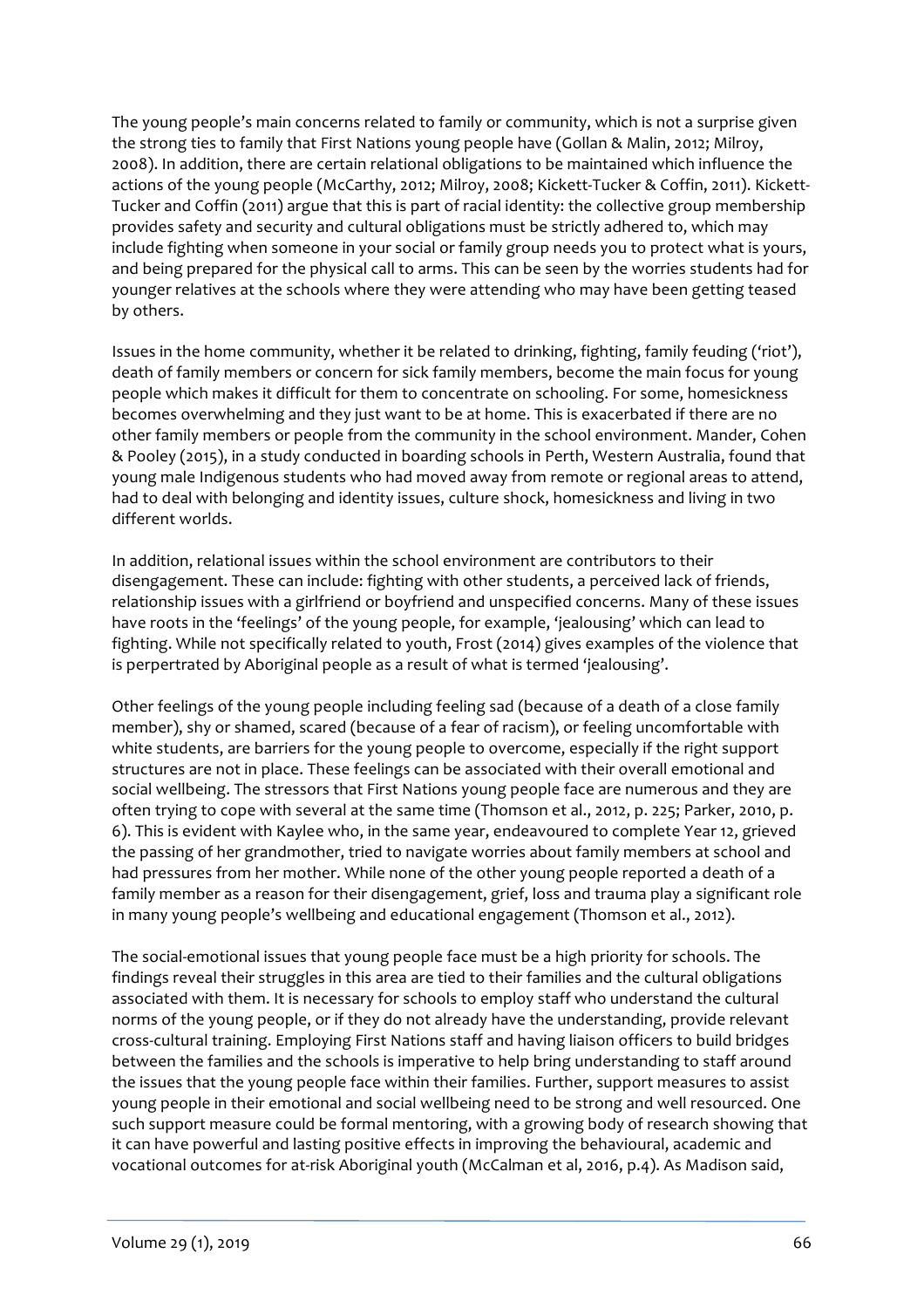The young people's main concerns related to family or community, which is not a surprise given the strong ties to family that First Nations young people have (Gollan & Malin, 2012; Milroy, 2008). In addition, there are certain relational obligations to be maintained which influence the actions of the young people (McCarthy, 2012; Milroy, 2008; Kickett-Tucker & Coffin, 2011). Kickett-Tucker and Coffin (2011) argue that this is part of racial identity: the collective group membership provides safety and security and cultural obligations must be strictly adhered to, which may include fighting when someone in your social or family group needs you to protect what is yours, and being prepared for the physical call to arms. This can be seen by the worries students had for younger relatives at the schools where they were attending who may have been getting teased by others.

Issues in the home community, whether it be related to drinking, fighting, family feuding ('riot'), death of family members or concern for sick family members, become the main focus for young people which makes it difficult for them to concentrate on schooling. For some, homesickness becomes overwhelming and they just want to be at home. This is exacerbated if there are no other family members or people from the community in the school environment. Mander, Cohen & Pooley (2015), in a study conducted in boarding schools in Perth, Western Australia, found that young male Indigenous students who had moved away from remote or regional areas to attend, had to deal with belonging and identity issues, culture shock, homesickness and living in two different worlds.

In addition, relational issues within the school environment are contributors to their disengagement. These can include: fighting with other students, a perceived lack of friends, relationship issues with a girlfriend or boyfriend and unspecified concerns. Many of these issues have roots in the 'feelings' of the young people, for example, 'jealousing' which can lead to fighting. While not specifically related to youth, Frost (2014) gives examples of the violence that is perpertrated by Aboriginal people as a result of what is termed 'jealousing'.

Other feelings of the young people including feeling sad (because of a death of a close family member), shy or shamed, scared (because of a fear of racism), or feeling uncomfortable with white students, are barriers for the young people to overcome, especially if the right support structures are not in place. These feelings can be associated with their overall emotional and social wellbeing. The stressors that First Nations young people face are numerous and they are often trying to cope with several at the same time (Thomson et al., 2012, p. 225; Parker, 2010, p. 6). This is evident with Kaylee who, in the same year, endeavoured to complete Year 12, grieved the passing of her grandmother, tried to navigate worries about family members at school and had pressures from her mother. While none of the other young people reported a death of a family member as a reason for their disengagement, grief, loss and trauma play a significant role in many young people's wellbeing and educational engagement (Thomson et al., 2012).

The social-emotional issues that young people face must be a high priority for schools. The findings reveal their struggles in this area are tied to their families and the cultural obligations associated with them. It is necessary for schools to employ staff who understand the cultural norms of the young people, or if they do not already have the understanding, provide relevant cross-cultural training. Employing First Nations staff and having liaison officers to build bridges between the families and the schools is imperative to help bring understanding to staff around the issues that the young people face within their families. Further, support measures to assist young people in their emotional and social wellbeing need to be strong and well resourced. One such support measure could be formal mentoring, with a growing body of research showing that it can have powerful and lasting positive effects in improving the behavioural, academic and vocational outcomes for at-risk Aboriginal youth (McCalman et al, 2016, p.4). As Madison said,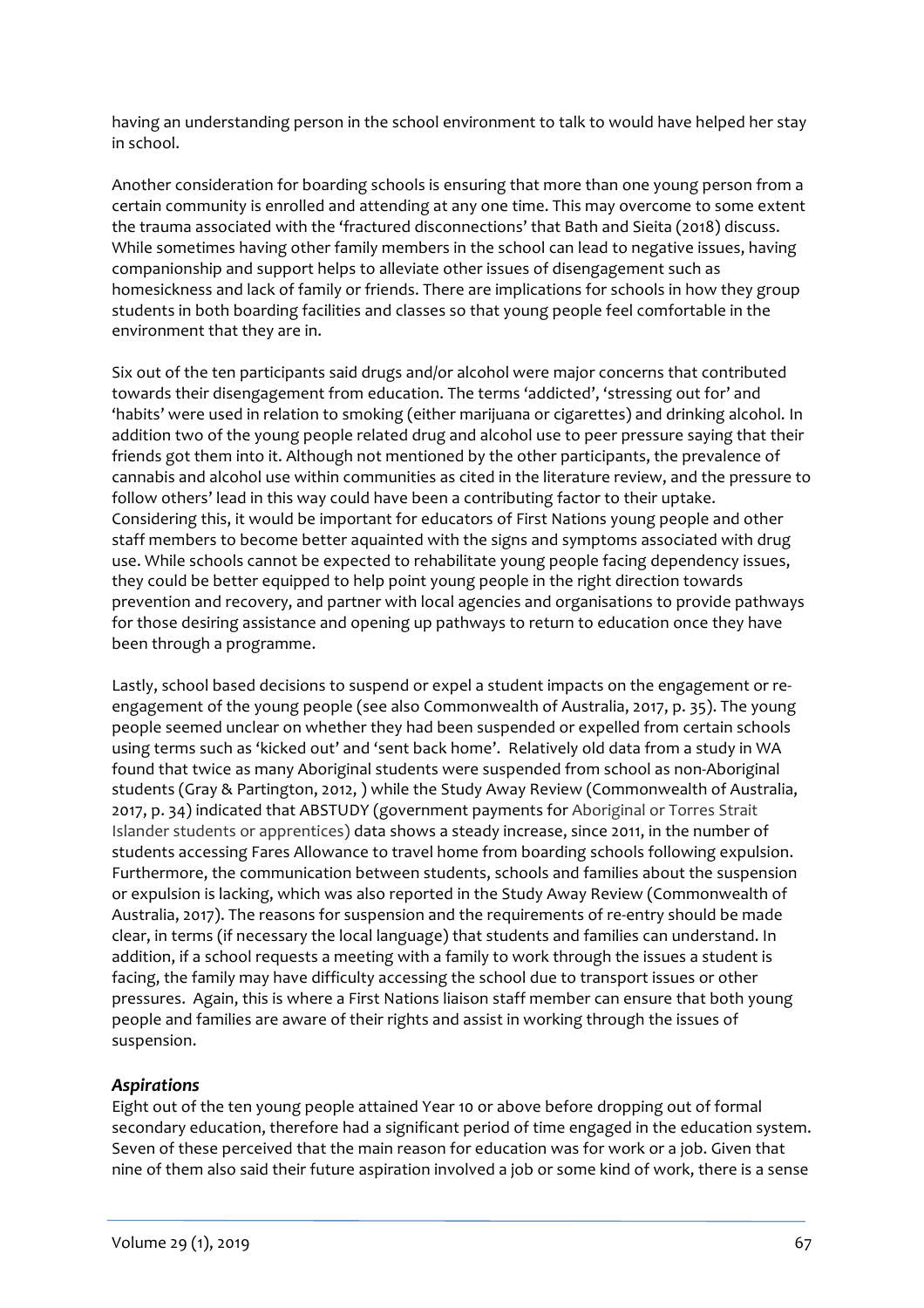having an understanding person in the school environment to talk to would have helped her stay in school.

Another consideration for boarding schools is ensuring that more than one young person from a certain community is enrolled and attending at any one time. This may overcome to some extent the trauma associated with the 'fractured disconnections' that Bath and Sieita (2018) discuss. While sometimes having other family members in the school can lead to negative issues, having companionship and support helps to alleviate other issues of disengagement such as homesickness and lack of family or friends. There are implications for schools in how they group students in both boarding facilities and classes so that young people feel comfortable in the environment that they are in.

Six out of the ten participants said drugs and/or alcohol were major concerns that contributed towards their disengagement from education. The terms 'addicted', 'stressing out for' and 'habits' were used in relation to smoking (either marijuana or cigarettes) and drinking alcohol. In addition two of the young people related drug and alcohol use to peer pressure saying that their friends got them into it. Although not mentioned by the other participants, the prevalence of cannabis and alcohol use within communities as cited in the literature review, and the pressure to follow others' lead in this way could have been a contributing factor to their uptake. Considering this, it would be important for educators of First Nations young people and other staff members to become better aquainted with the signs and symptoms associated with drug use. While schools cannot be expected to rehabilitate young people facing dependency issues, they could be better equipped to help point young people in the right direction towards prevention and recovery, and partner with local agencies and organisations to provide pathways for those desiring assistance and opening up pathways to return to education once they have been through a programme.

Lastly, school based decisions to suspend or expel a student impacts on the engagement or reengagement of the young people (see also Commonwealth of Australia, 2017, p. 35). The young people seemed unclear on whether they had been suspended or expelled from certain schools using terms such as 'kicked out' and 'sent back home'. Relatively old data from a study in WA found that twice as many Aboriginal students were suspended from school as non-Aboriginal students (Gray & Partington, 2012, ) while the Study Away Review (Commonwealth of Australia, 2017, p. 34) indicated that ABSTUDY (government payments for Aboriginal or Torres Strait Islander students or apprentices) data shows a steady increase, since 2011, in the number of students accessing Fares Allowance to travel home from boarding schools following expulsion. Furthermore, the communication between students, schools and families about the suspension or expulsion is lacking, which was also reported in the Study Away Review (Commonwealth of Australia, 2017). The reasons for suspension and the requirements of re-entry should be made clear, in terms (if necessary the local language) that students and families can understand. In addition, if a school requests a meeting with a family to work through the issues a student is facing, the family may have difficulty accessing the school due to transport issues or other pressures. Again, this is where a First Nations liaison staff member can ensure that both young people and families are aware of their rights and assist in working through the issues of suspension.

# *Aspirations*

Eight out of the ten young people attained Year 10 or above before dropping out of formal secondary education, therefore had a significant period of time engaged in the education system. Seven of these perceived that the main reason for education was for work or a job. Given that nine of them also said their future aspiration involved a job or some kind of work, there is a sense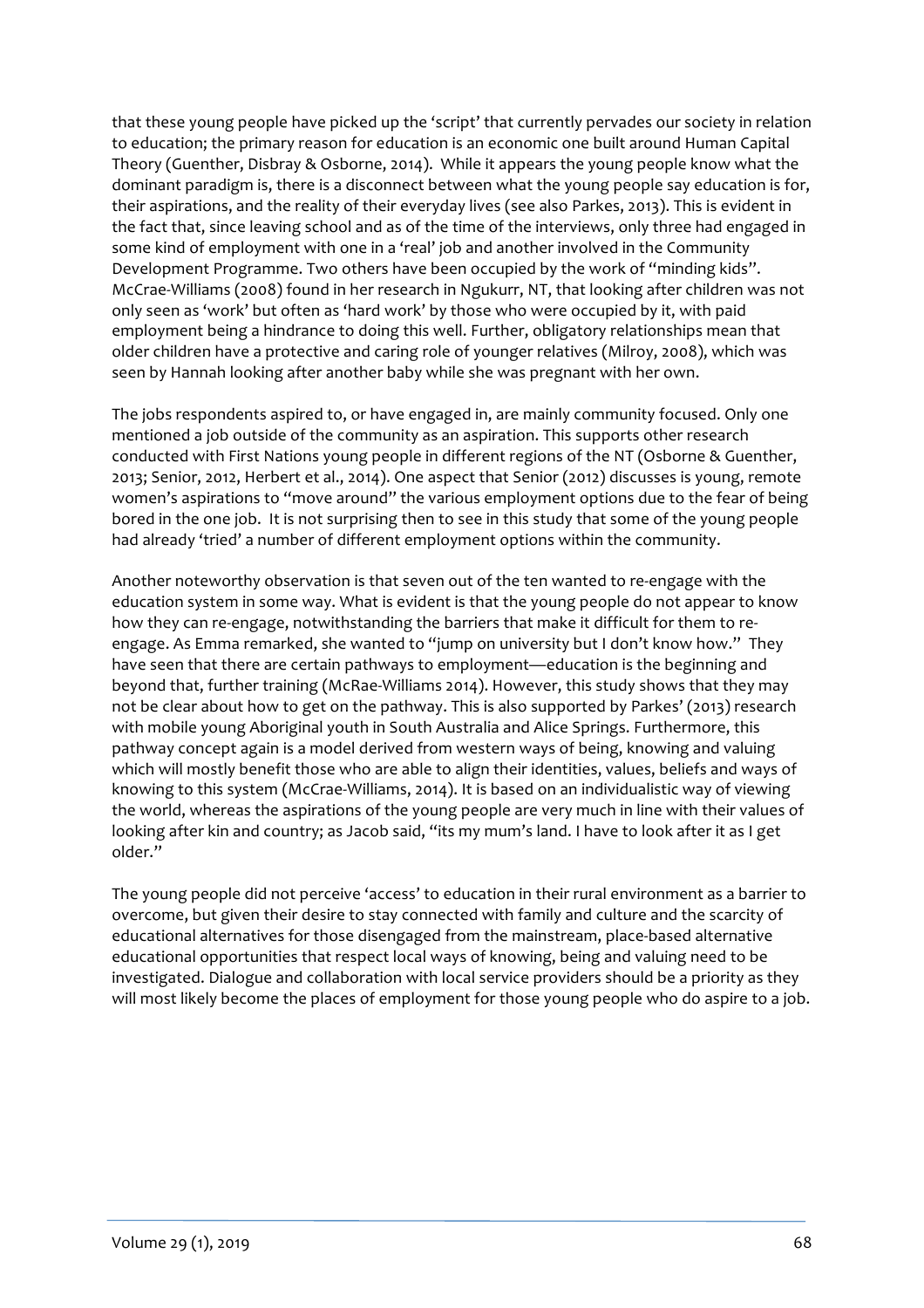that these young people have picked up the 'script' that currently pervades our society in relation to education; the primary reason for education is an economic one built around Human Capital Theory (Guenther, Disbray & Osborne, 2014). While it appears the young people know what the dominant paradigm is, there is a disconnect between what the young people say education is for, their aspirations, and the reality of their everyday lives (see also Parkes, 2013). This is evident in the fact that, since leaving school and as of the time of the interviews, only three had engaged in some kind of employment with one in a 'real' job and another involved in the Community Development Programme. Two others have been occupied by the work of "minding kids". McCrae-Williams (2008) found in her research in Ngukurr, NT, that looking after children was not only seen as 'work' but often as 'hard work' by those who were occupied by it, with paid employment being a hindrance to doing this well. Further, obligatory relationships mean that older children have a protective and caring role of younger relatives (Milroy, 2008), which was seen by Hannah looking after another baby while she was pregnant with her own.

The jobs respondents aspired to, or have engaged in, are mainly community focused. Only one mentioned a job outside of the community as an aspiration. This supports other research conducted with First Nations young people in different regions of the NT (Osborne & Guenther, 2013; Senior, 2012, Herbert et al., 2014). One aspect that Senior (2012) discusses is young, remote women's aspirations to "move around" the various employment options due to the fear of being bored in the one job. It is not surprising then to see in this study that some of the young people had already 'tried' a number of different employment options within the community.

Another noteworthy observation is that seven out of the ten wanted to re-engage with the education system in some way. What is evident is that the young people do not appear to know how they can re-engage, notwithstanding the barriers that make it difficult for them to reengage. As Emma remarked, she wanted to "jump on university but I don't know how." They have seen that there are certain pathways to employment—education is the beginning and beyond that, further training (McRae-Williams 2014). However, this study shows that they may not be clear about how to get on the pathway. This is also supported by Parkes' (2013) research with mobile young Aboriginal youth in South Australia and Alice Springs. Furthermore, this pathway concept again is a model derived from western ways of being, knowing and valuing which will mostly benefit those who are able to align their identities, values, beliefs and ways of knowing to this system (McCrae-Williams, 2014). It is based on an individualistic way of viewing the world, whereas the aspirations of the young people are very much in line with their values of looking after kin and country; as Jacob said, "its my mum's land. I have to look after it as I get older."

The young people did not perceive 'access' to education in their rural environment as a barrier to overcome, but given their desire to stay connected with family and culture and the scarcity of educational alternatives for those disengaged from the mainstream, place-based alternative educational opportunities that respect local ways of knowing, being and valuing need to be investigated. Dialogue and collaboration with local service providers should be a priority as they will most likely become the places of employment for those young people who do aspire to a job.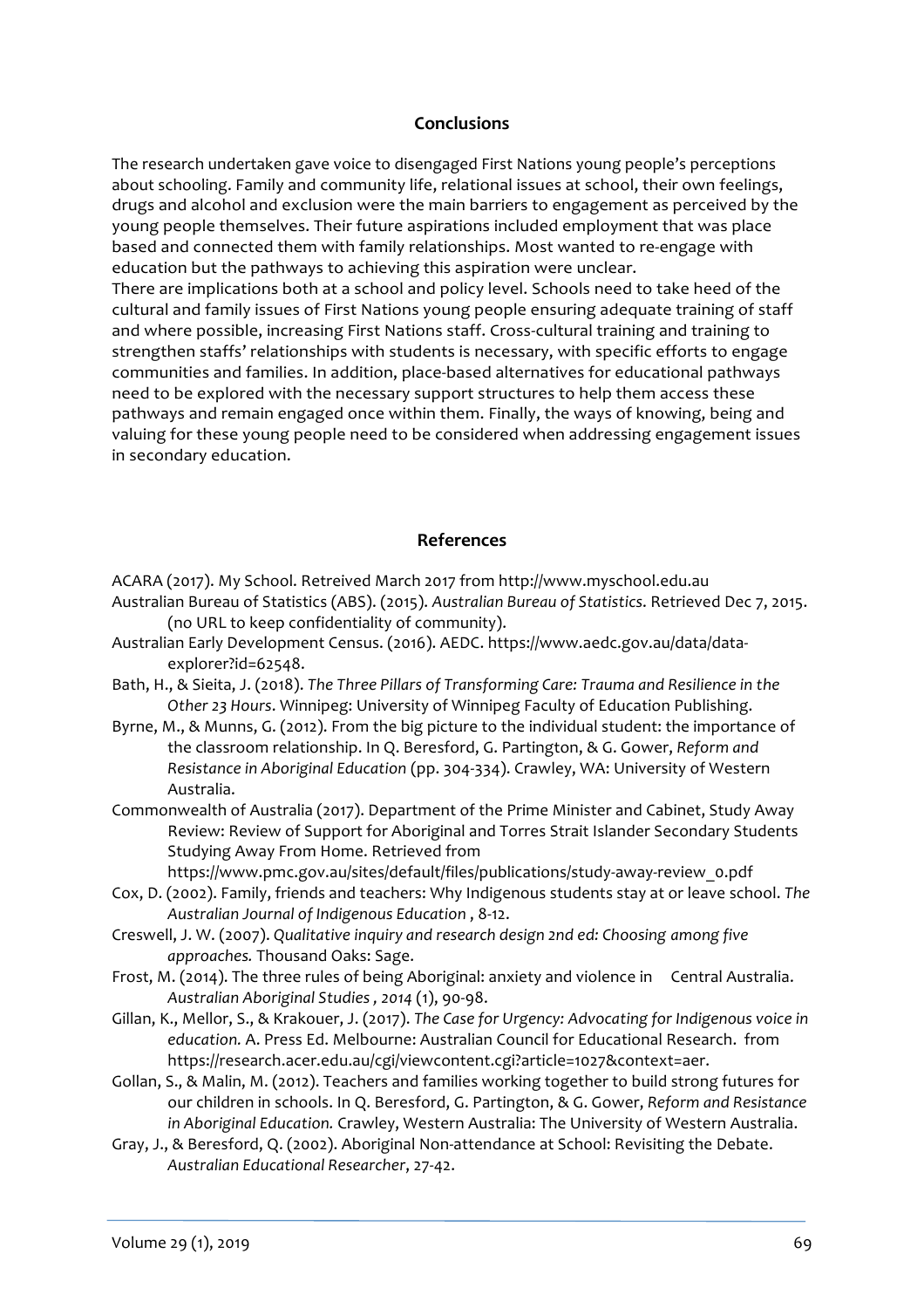#### **Conclusions**

The research undertaken gave voice to disengaged First Nations young people's perceptions about schooling. Family and community life, relational issues at school, their own feelings, drugs and alcohol and exclusion were the main barriers to engagement as perceived by the young people themselves. Their future aspirations included employment that was place based and connected them with family relationships. Most wanted to re-engage with education but the pathways to achieving this aspiration were unclear. There are implications both at a school and policy level. Schools need to take heed of the cultural and family issues of First Nations young people ensuring adequate training of staff and where possible, increasing First Nations staff. Cross-cultural training and training to strengthen staffs' relationships with students is necessary, with specific efforts to engage communities and families. In addition, place-based alternatives for educational pathways need to be explored with the necessary support structures to help them access these pathways and remain engaged once within them. Finally, the ways of knowing, being and valuing for these young people need to be considered when addressing engagement issues in secondary education.

#### **References**

ACARA (2017). My School. Retreived March 2017 from http://www.myschool.edu.au

- Australian Bureau of Statistics (ABS). (2015). Australian Bureau of Statistics. Retrieved Dec 7, 2015. (no URL to keep confidentiality of community).
- Australian Early Development Census. (2016). AEDC. https://www.aedc.gov.au/data/dataexplorer?id=62548.
- Bath, H., & Sieita, J. (2018). The Three Pillars of Transforming Care: Trauma and Resilience in the Other 23 Hours. Winnipeg: University of Winnipeg Faculty of Education Publishing.
- Byrne, M., & Munns, G. (2012). From the big picture to the individual student: the importance of the classroom relationship. In Q. Beresford, G. Partington, & G. Gower, Reform and *Resistance in Aboriginal Education* (pp. 304-334). Crawley, WA: University of Western Australia.
- Commonwealth of Australia (2017). Department of the Prime Minister and Cabinet, Study Away Review: Review of Support for Aboriginal and Torres Strait Islander Secondary Students Studying Away From Home. Retrieved from https://www.pmc.gov.au/sites/default/files/publications/study-away-review\_0.pdf
- Cox, D. (2002). Family, friends and teachers: Why Indigenous students stay at or leave school. The Australian Journal of Indigenous Education, 8-12.
- Creswell, J. W. (2007). Qualitative inquiry and research design 2nd ed: Choosing among five *approaches.* Thousand Oaks: Sage.
- Frost, M. (2014). The three rules of being Aboriginal: anxiety and violence in Central Australia. *Australian Aboriginal Studies , 2014* (1), 90-98.
- Gillan, K., Mellor, S., & Krakouer, J. (2017). *The Case for Urgency: Advocating for Indigenous voice in* education. A. Press Ed. Melbourne: Australian Council for Educational Research. from https://research.acer.edu.au/cgi/viewcontent.cgi?article=1027&context=aer.
- Gollan, S., & Malin, M. (2012). Teachers and families working together to build strong futures for our children in schools. In Q. Beresford, G. Partington, & G. Gower, Reform and Resistance in Aboriginal Education. Crawley, Western Australia: The University of Western Australia.
- Gray, J., & Beresford, Q. (2002). Aboriginal Non-attendance at School: Revisiting the Debate. *Australian Educational Researcher*, 27-42.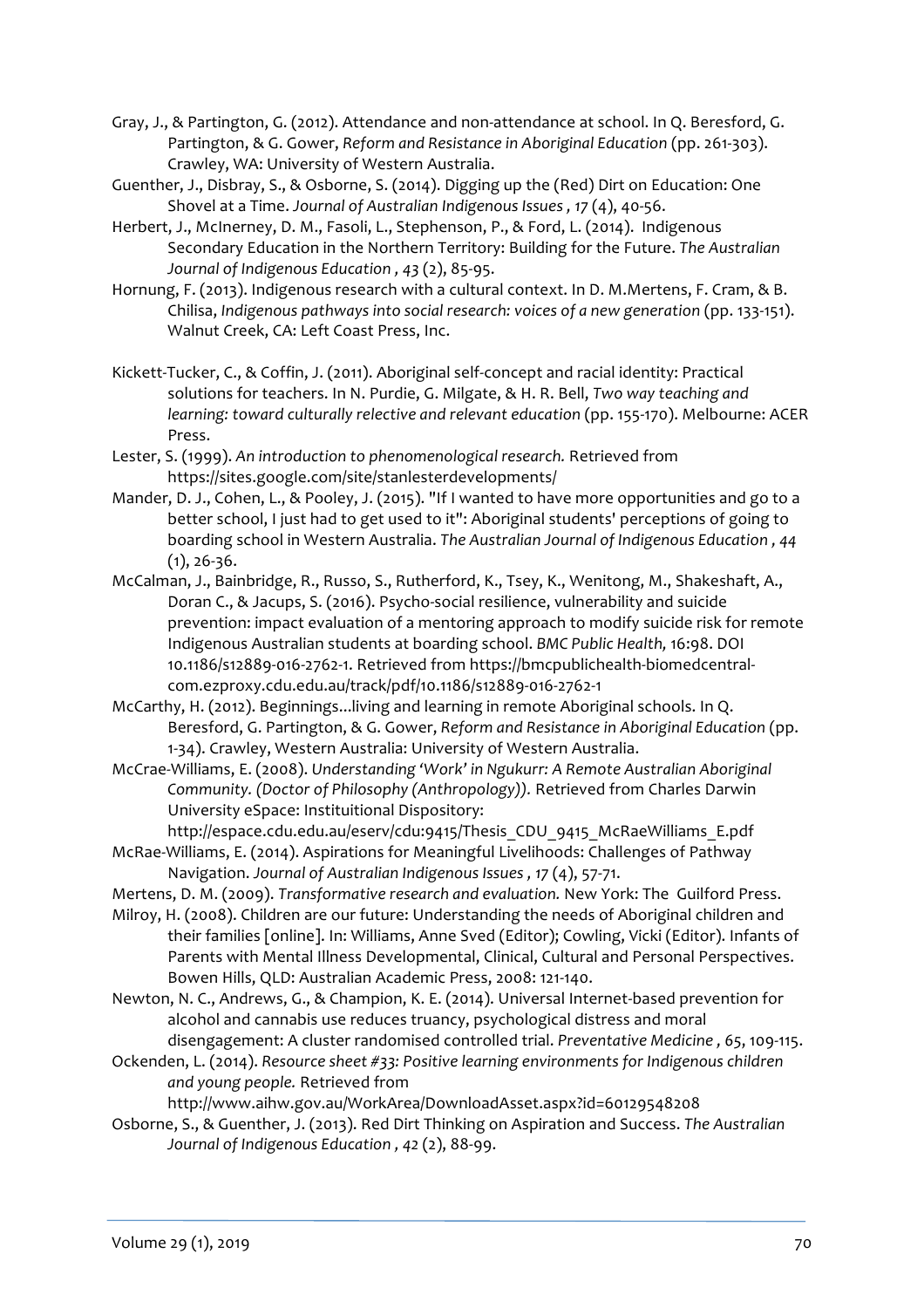- Gray, J., & Partington, G. (2012). Attendance and non-attendance at school. In Q. Beresford, G. Partington, & G. Gower, Reform and Resistance in Aboriginal Education (pp. 261-303). Crawley, WA: University of Western Australia.
- Guenther, J., Disbray, S., & Osborne, S. (2014). Digging up the (Red) Dirt on Education: One Shovel at a Time. Journal of Australian Indigenous Issues, 17 (4), 40-56.
- Herbert, J., McInerney, D. M., Fasoli, L., Stephenson, P., & Ford, L. (2014). Indigenous Secondary Education in the Northern Territory: Building for the Future. The Australian *Journal of Indigenous Education* , 43 (2), 85-95.
- Hornung, F. (2013). Indigenous research with a cultural context. In D. M.Mertens, F. Cram, & B. Chilisa, *Indigenous pathways into social research:* voices of a new generation (pp. 133-151). Walnut Creek, CA: Left Coast Press, Inc.
- Kickett-Tucker, C., & Coffin, J. (2011). Aboriginal self-concept and racial identity: Practical solutions for teachers. In N. Purdie, G. Milgate, & H. R. Bell, *Two way teaching and learning:* toward culturally relective and relevant education (pp. 155-170). Melbourne: ACER Press.
- Lester, S. (1999). An introduction to phenomenological research. Retrieved from https://sites.google.com/site/stanlesterdevelopments/
- Mander, D. J., Cohen, L., & Pooley, J. (2015). "If I wanted to have more opportunities and go to a better school, I just had to get used to it": Aboriginal students' perceptions of going to boarding school in Western Australia. The Australian Journal of Indigenous Education, 44  $(1), 26-36.$
- McCalman, J., Bainbridge, R., Russo, S., Rutherford, K., Tsey, K., Wenitong, M., Shakeshaft, A., Doran C., & Jacups, S. (2016). Psycho-social resilience, vulnerability and suicide prevention: impact evaluation of a mentoring approach to modify suicide risk for remote Indigenous Australian students at boarding school. *BMC Public Health,* 16:98. DOI 10.1186/s12889-016-2762-1. Retrieved from https://bmcpublichealth-biomedcentralcom.ezproxy.cdu.edu.au/track/pdf/10.1186/s12889-016-2762-1
- McCarthy, H. (2012). Beginnings... living and learning in remote Aboriginal schools. In O. Beresford, G. Partington, & G. Gower, *Reform and Resistance in Aboriginal Education* (pp. 1-34). Crawley, Western Australia: University of Western Australia.
- McCrae-Williams, E. (2008). Understanding 'Work' in Ngukurr: A Remote Australian Aboriginal *Community.* (Doctor of Philosophy (Anthropology)). Retrieved from Charles Darwin University eSpace: Instituitional Dispository:

http://espace.cdu.edu.au/eserv/cdu:9415/Thesis\_CDU\_9415\_McRaeWilliams\_E.pdf McRae-Williams, E. (2014). Aspirations for Meaningful Livelihoods: Challenges of Pathway

- Navigation. Journal of Australian Indigenous Issues, 17(4), 57-71.
- Mertens, D. M. (2009). *Transformative research and evaluation*. New York: The Guilford Press.
- Milroy, H. (2008). Children are our future: Understanding the needs of Aboriginal children and their families [online]. In: Williams, Anne Sved (Editor); Cowling, Vicki (Editor). Infants of Parents with Mental Illness Developmental, Clinical, Cultural and Personal Perspectives. Bowen Hills, QLD: Australian Academic Press, 2008: 121-140.
- Newton, N. C., Andrews, G., & Champion, K. E. (2014). Universal Internet-based prevention for alcohol and cannabis use reduces truancy, psychological distress and moral disengagement: A cluster randomised controlled trial. Preventative Medicine, 65, 109-115.
- Ockenden, L. (2014). Resource sheet #33: Positive learning environments for Indigenous children *and young people.* Retrieved from

http://www.aihw.gov.au/WorkArea/DownloadAsset.aspx?id=60129548208

Osborne, S., & Guenther, J. (2013). Red Dirt Thinking on Aspiration and Success. The Australian *Journal of Indigenous Education* , 42 (2), 88-99.